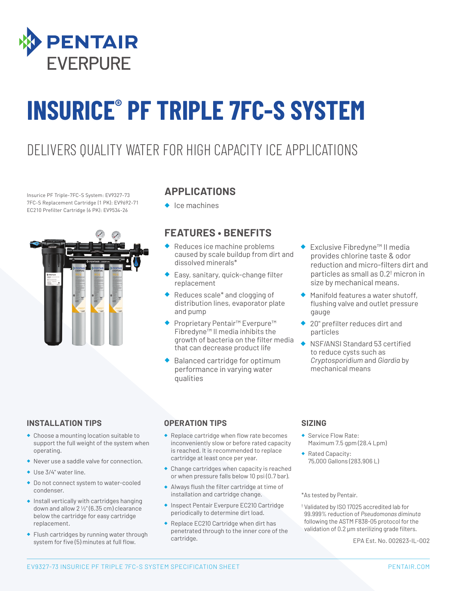

# **INSURICE® PF TRIPLE 7FC-S SYSTEM**

### DELIVERS QUALITY WATER FOR HIGH CAPACITY ICE APPLICATIONS

Insurice PF Triple-7FC-S System: EV9327-73 7FC-S Replacement Cartridge (1 PK): EV9692-71 EC210 Prefilter Cartridge (6 PK): EV9534-26



#### **APPLICATIONS**

◆ Ice machines

#### **FEATURES • BENEFITS**

- ◆ Reduces ice machine problems caused by scale buildup from dirt and dissolved minerals\*
- Easy, sanitary, quick-change filter replacement
- Reduces scale\* and clogging of distribution lines, evaporator plate and pump
- Proprietary Pentair™ Everpure™ Fibredyne™ II media inhibits the growth of bacteria on the filter media that can decrease product life
- Balanced cartridge for optimum performance in varying water qualities
- **Exclusive Fibredyne™ II media** provides chlorine taste & odor reduction and micro-filters dirt and particles as small as 0.2† micron in size by mechanical means.
- Manifold features a water shutoff, flushing valve and outlet pressure gauge
- 20" prefilter reduces dirt and particles
- ◆ NSF/ANSI Standard 53 certified to reduce cysts such as *Cryptosporidium* and *Giardia* by mechanical means

#### **INSTALLATION TIPS**

- ◆ Choose a mounting location suitable to support the full weight of the system when operating.
- ◆ Never use a saddle valve for connection.
- ◆ Use 3/4" water line.
- ◆ Do not connect system to water-cooled condenser.
- ◆ Install vertically with cartridges hanging down and allow  $2\frac{1}{2}$ " (6.35 cm) clearance below the cartridge for easy cartridge replacement.
- ◆ Flush cartridges by running water through system for five (5) minutes at full flow.

#### **OPERATION TIPS**

- ◆ Replace cartridge when flow rate becomes inconveniently slow or before rated capacity is reached. It is recommended to replace cartridge at least once per year.
- ◆ Change cartridges when capacity is reached or when pressure falls below 10 psi (0.7 bar).
- ◆ Always flush the filter cartridge at time of installation and cartridge change.
- ◆ Inspect Pentair Everpure EC210 Cartridge periodically to determine dirt load.
- ◆ Replace EC210 Cartridge when dirt has penetrated through to the inner core of the cartridge.

#### **SIZING**

- ◆ Service Flow Rate: Maximum 7.5 gpm (28.4 Lpm)
- ◆ Rated Capacity: 75,000 Gallons (283,906 L)

\*As tested by Pentair.

† Validated by ISO 17025 accredited lab for 99.999% reduction of *Pseudomonas diminuta* following the ASTM F838-05 protocol for the validation of 0.2 μm sterilizing grade filters.

EPA Est. No. 002623-IL-002